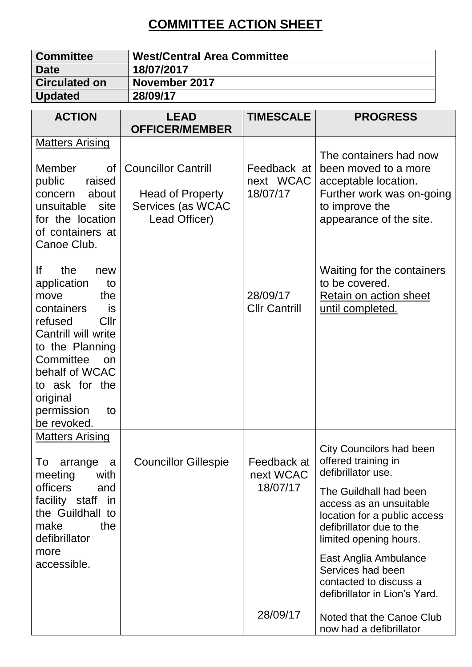## **COMMITTEE ACTION SHEET**

| <b>Committee</b><br><b>Date</b>                                                                                                                                                                                                                    | <b>West/Central Area Committee</b><br>18/07/2017                                     |                                      |                                                                                                                                                                                                                                                                                                                                  |  |
|----------------------------------------------------------------------------------------------------------------------------------------------------------------------------------------------------------------------------------------------------|--------------------------------------------------------------------------------------|--------------------------------------|----------------------------------------------------------------------------------------------------------------------------------------------------------------------------------------------------------------------------------------------------------------------------------------------------------------------------------|--|
| <b>Circulated on</b><br><b>Updated</b>                                                                                                                                                                                                             | November 2017<br>28/09/17                                                            |                                      |                                                                                                                                                                                                                                                                                                                                  |  |
| <b>ACTION</b>                                                                                                                                                                                                                                      | <b>LEAD</b><br><b>OFFICER/MEMBER</b>                                                 | <b>TIMESCALE</b>                     | <b>PROGRESS</b>                                                                                                                                                                                                                                                                                                                  |  |
| <b>Matters Arising</b><br><b>Member</b><br><b>of</b><br>public<br>raised<br>about<br>concern<br>unsuitable site<br>for the location<br>of containers at<br>Canoe Club.                                                                             | <b>Councillor Cantrill</b><br>Head of Property<br>Services (as WCAC<br>Lead Officer) | Feedback at<br>next WCAC<br>18/07/17 | The containers had now<br>been moved to a more<br>acceptable location.<br>Further work was on-going<br>to improve the<br>appearance of the site.                                                                                                                                                                                 |  |
| lf<br>the<br>new<br>application<br>to<br>move<br>the<br>containers<br>is<br>Cllr<br>refused<br>Cantrill will write<br>to the Planning<br>Committee<br><b>on</b><br>behalf of WCAC<br>to ask for the<br>original<br>permission<br>to<br>be revoked. |                                                                                      | 28/09/17<br><b>Cllr Cantrill</b>     | Waiting for the containers<br>to be covered.<br>Retain on action sheet<br><u>until completed.</u>                                                                                                                                                                                                                                |  |
| <b>Matters Arising</b><br>arrange<br>To<br>a<br>with<br>meeting<br>officers<br>and<br>facility staff<br>in<br>the Guildhall to<br>make<br>the<br>defibrillator<br>more<br>accessible.                                                              | <b>Councillor Gillespie</b>                                                          | Feedback at<br>next WCAC<br>18/07/17 | <b>City Councilors had been</b><br>offered training in<br>defibrillator use.<br>The Guildhall had been<br>access as an unsuitable<br>location for a public access<br>defibrillator due to the<br>limited opening hours.<br>East Anglia Ambulance<br>Services had been<br>contacted to discuss a<br>defibrillator in Lion's Yard. |  |
|                                                                                                                                                                                                                                                    |                                                                                      | 28/09/17                             | Noted that the Canoe Club<br>now had a defibrillator                                                                                                                                                                                                                                                                             |  |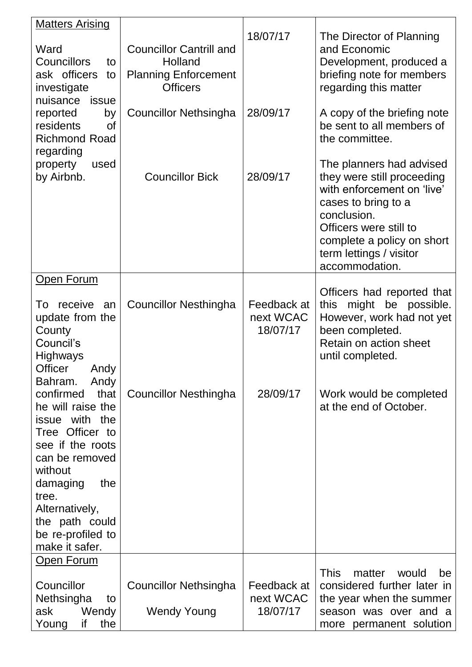| <b>Matters Arising</b><br>Ward<br><b>Councillors</b><br>to<br>ask officers<br>to<br>investigate<br>nuisance<br>issue<br>reported<br>by<br>residents<br><sub>of</sub><br><b>Richmond Road</b><br>regarding<br>property<br>used<br>by Airbnb. | <b>Councillor Cantrill and</b><br>Holland<br><b>Planning Enforcement</b><br><b>Officers</b><br>Councillor Nethsingha<br><b>Councillor Bick</b> | 18/07/17<br>28/09/17<br>28/09/17     | The Director of Planning<br>and Economic<br>Development, produced a<br>briefing note for members<br>regarding this matter<br>A copy of the briefing note<br>be sent to all members of<br>the committee.<br>The planners had advised<br>they were still proceeding<br>with enforcement on 'live' |
|---------------------------------------------------------------------------------------------------------------------------------------------------------------------------------------------------------------------------------------------|------------------------------------------------------------------------------------------------------------------------------------------------|--------------------------------------|-------------------------------------------------------------------------------------------------------------------------------------------------------------------------------------------------------------------------------------------------------------------------------------------------|
|                                                                                                                                                                                                                                             |                                                                                                                                                |                                      | cases to bring to a<br>conclusion.<br>Officers were still to<br>complete a policy on short<br>term lettings / visitor<br>accommodation.                                                                                                                                                         |
| Open Forum                                                                                                                                                                                                                                  |                                                                                                                                                |                                      |                                                                                                                                                                                                                                                                                                 |
| receive<br>To<br>an<br>update from the<br>County<br>Council's<br><b>Highways</b><br><b>Officer</b><br>Andy<br>Bahram.<br>Andy                                                                                                               | <b>Councillor Nesthingha</b>                                                                                                                   | Feedback at<br>next WCAC<br>18/07/17 | Officers had reported that<br>this might be possible.<br>However, work had not yet<br>been completed.<br>Retain on action sheet<br>until completed.                                                                                                                                             |
| confirmed<br>that<br>he will raise the<br>issue with the<br>Tree Officer to<br>see if the roots<br>can be removed<br>without<br>the<br>damaging<br>tree.<br>Alternatively,<br>the path could<br>be re-profiled to<br>make it safer.         | <b>Councillor Nesthingha</b>                                                                                                                   | 28/09/17                             | Work would be completed<br>at the end of October.                                                                                                                                                                                                                                               |
| <b>Open Forum</b>                                                                                                                                                                                                                           |                                                                                                                                                |                                      |                                                                                                                                                                                                                                                                                                 |
| Councillor<br>Nethsingha<br>to<br>ask<br>Wendy<br>the<br>if<br>Young                                                                                                                                                                        | <b>Councillor Nethsingha</b><br><b>Wendy Young</b>                                                                                             | Feedback at<br>next WCAC<br>18/07/17 | <b>This</b><br>matter<br>would<br>be<br>considered further later in<br>the year when the summer<br>season was over and a<br>more permanent solution                                                                                                                                             |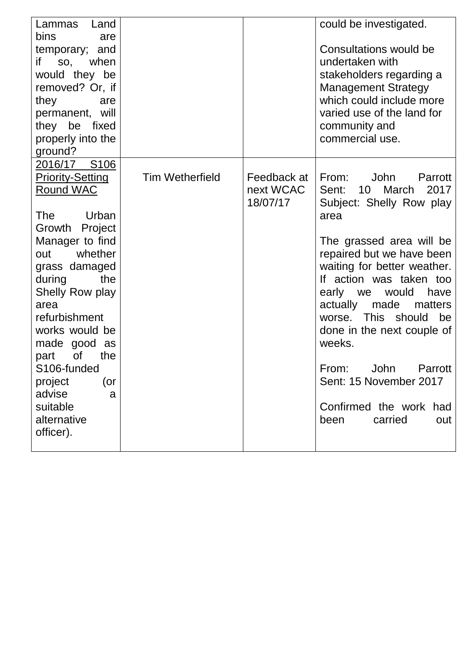| Lammas<br>Land          |                        |             | could be investigated.       |
|-------------------------|------------------------|-------------|------------------------------|
| <b>bins</b><br>are      |                        |             |                              |
| temporary; and          |                        |             | Consultations would be       |
| when<br>if<br>SO,       |                        |             | undertaken with              |
| would they be           |                        |             | stakeholders regarding a     |
| removed? Or, if         |                        |             | <b>Management Strategy</b>   |
| they<br>are             |                        |             | which could include more     |
| permanent, will         |                        |             | varied use of the land for   |
| they be fixed           |                        |             | community and                |
| properly into the       |                        |             | commercial use.              |
| ground?                 |                        |             |                              |
| 2016/17 S106            |                        |             |                              |
| <b>Priority-Setting</b> | <b>Tim Wetherfield</b> | Feedback at | From:<br>John<br>Parrott     |
| <b>Round WAC</b>        |                        | next WCAC   | Sent:<br>10<br>March<br>2017 |
|                         |                        | 18/07/17    | Subject: Shelly Row play     |
| Urban<br>The            |                        |             | area                         |
| Project<br>Growth       |                        |             |                              |
| Manager to find         |                        |             | The grassed area will be     |
| whether<br>out          |                        |             | repaired but we have been    |
| grass damaged           |                        |             | waiting for better weather.  |
| during<br>the           |                        |             | If action was taken too      |
| <b>Shelly Row play</b>  |                        |             | early we<br>would<br>have    |
| area                    |                        |             | actually made<br>matters     |
| refurbishment           |                        |             | This should<br>be<br>worse.  |
| works would be          |                        |             | done in the next couple of   |
| made good as            |                        |             | weeks.                       |
| 0f<br>the<br>part       |                        |             |                              |
| S106-funded             |                        |             | From:<br>John<br>Parrott     |
| project<br>(or          |                        |             | Sent: 15 November 2017       |
| advise<br>a             |                        |             |                              |
| suitable                |                        |             | Confirmed the work had       |
| alternative             |                        |             | carried<br>been<br>out       |
|                         |                        |             |                              |
| officer).               |                        |             |                              |
|                         |                        |             |                              |